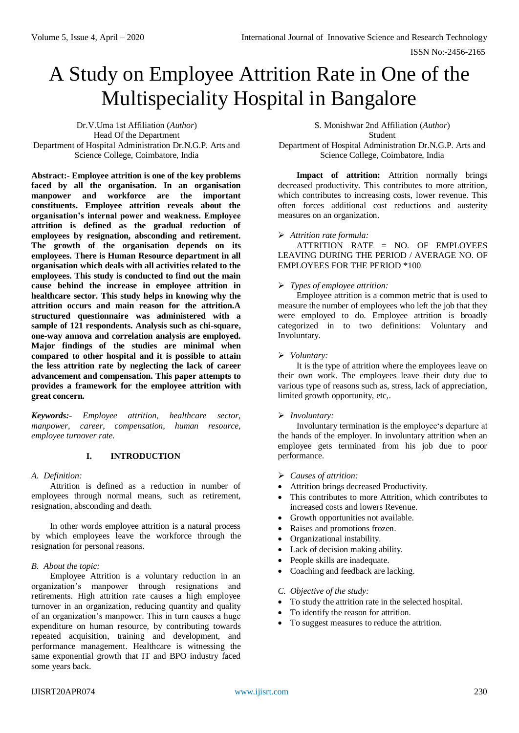# A Study on Employee Attrition Rate in One of the Multispeciality Hospital in Bangalore

Dr.V.Uma 1st Affiliation (*Author*) Head Of the Department Department of Hospital Administration Dr.N.G.P. Arts and Science College, Coimbatore, India

**Abstract:- Employee attrition is one of the key problems faced by all the organisation. In an organisation manpower and workforce are the important constituents. Employee attrition reveals about the organisation's internal power and weakness. Employee attrition is defined as the gradual reduction of employees by resignation, absconding and retirement. The growth of the organisation depends on its employees. There is Human Resource department in all organisation which deals with all activities related to the employees. This study is conducted to find out the main cause behind the increase in employee attrition in healthcare sector. This study helps in knowing why the attrition occurs and main reason for the attrition.A structured questionnaire was administered with a sample of 121 respondents. Analysis such as chi-square, one-way annova and correlation analysis are employed. Major findings of the studies are minimal when compared to other hospital and it is possible to attain the less attrition rate by neglecting the lack of career advancement and compensation. This paper attempts to provides a framework for the employee attrition with great concern.**

*Keywords:- Employee attrition, healthcare sector, manpower, career, compensation, human resource, employee turnover rate.*

# **I. INTRODUCTION**

*A. Definition:* 

Attrition is defined as a reduction in number of employees through normal means, such as retirement, resignation, absconding and death.

In other words employee attrition is a natural process by which employees leave the workforce through the resignation for personal reasons.

# *B. About the topic:*

Employee Attrition is a voluntary reduction in an organization's manpower through resignations and retirements. High attrition rate causes a high employee turnover in an organization, reducing quantity and quality of an organization's manpower. This in turn causes a huge expenditure on human resource, by contributing towards repeated acquisition, training and development, and performance management. Healthcare is witnessing the same exponential growth that IT and BPO industry faced some years back.

S. Monishwar 2nd Affiliation (*Author*)

Student

Department of Hospital Administration Dr.N.G.P. Arts and Science College, Coimbatore, India

**Impact of attrition:** Attrition normally brings decreased productivity. This contributes to more attrition, which contributes to increasing costs, lower revenue. This often forces additional cost reductions and austerity measures on an organization.

#### *Attrition rate formula:*

ATTRITION RATE = NO. OF EMPLOYEES LEAVING DURING THE PERIOD / AVERAGE NO. OF EMPLOYEES FOR THE PERIOD \*100

#### *Types of employee attrition:*

Employee attrition is a common metric that is used to measure the number of employees who left the job that they were employed to do. Employee attrition is broadly categorized in to two definitions: Voluntary and Involuntary.

#### *Voluntary:*

It is the type of attrition where the employees leave on their own work. The employees leave their duty due to various type of reasons such as, stress, lack of appreciation, limited growth opportunity, etc,.

#### *Involuntary:*

Involuntary termination is the employee's departure at the hands of the employer. In involuntary attrition when an employee gets terminated from his job due to poor performance.

- *Causes of attrition:*
- Attrition brings decreased Productivity.
- This contributes to more Attrition, which contributes to increased costs and lowers Revenue.
- Growth opportunities not available.
- Raises and promotions frozen.
- Organizational instability.
- Lack of decision making ability.
- People skills are inadequate.
- Coaching and feedback are lacking.

#### *C. Objective of the study:*

- To study the attrition rate in the selected hospital.
- To identify the reason for attrition.
- To suggest measures to reduce the attrition.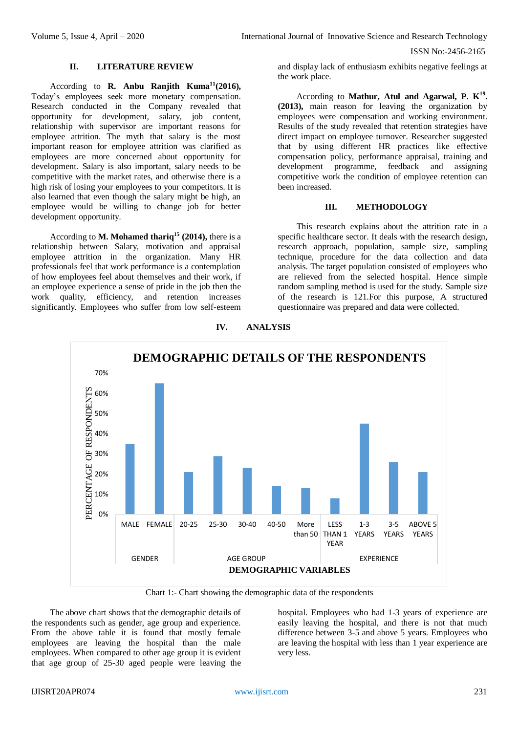#### **II. LITERATURE REVIEW**

According to **R. Anbu Ranjith Kuma<sup>11</sup>(2016),**  Today's employees seek more monetary compensation. Research conducted in the Company revealed that opportunity for development, salary, job content, relationship with supervisor are important reasons for employee attrition. The myth that salary is the most important reason for employee attrition was clarified as employees are more concerned about opportunity for development. Salary is also important, salary needs to be competitive with the market rates, and otherwise there is a high risk of losing your employees to your competitors. It is also learned that even though the salary might be high, an employee would be willing to change job for better development opportunity.

According to **M. Mohamed thariq<sup>15</sup> (2014),** there is a relationship between Salary, motivation and appraisal employee attrition in the organization. Many HR professionals feel that work performance is a contemplation of how employees feel about themselves and their work, if an employee experience a sense of pride in the job then the work quality, efficiency, and retention increases significantly. Employees who suffer from low self-esteem

and display lack of enthusiasm exhibits negative feelings at the work place.

According to **Mathur, Atul and Agarwal, P. K<sup>19</sup> . (2013),** main reason for leaving the organization by employees were compensation and working environment. Results of the study revealed that retention strategies have direct impact on employee turnover. Researcher suggested that by using different HR practices like effective compensation policy, performance appraisal, training and development programme, feedback and assigning competitive work the condition of employee retention can been increased.

# **III. METHODOLOGY**

This research explains about the attrition rate in a specific healthcare sector. It deals with the research design, research approach, population, sample size, sampling technique, procedure for the data collection and data analysis. The target population consisted of employees who are relieved from the selected hospital. Hence simple random sampling method is used for the study. Sample size of the research is 121.For this purpose, A structured questionnaire was prepared and data were collected.



# **IV. ANALYSIS**

Chart 1:- Chart showing the demographic data of the respondents

The above chart shows that the demographic details of the respondents such as gender, age group and experience. From the above table it is found that mostly female employees are leaving the hospital than the male employees. When compared to other age group it is evident that age group of 25-30 aged people were leaving the

hospital. Employees who had 1-3 years of experience are easily leaving the hospital, and there is not that much difference between 3-5 and above 5 years. Employees who are leaving the hospital with less than 1 year experience are very less.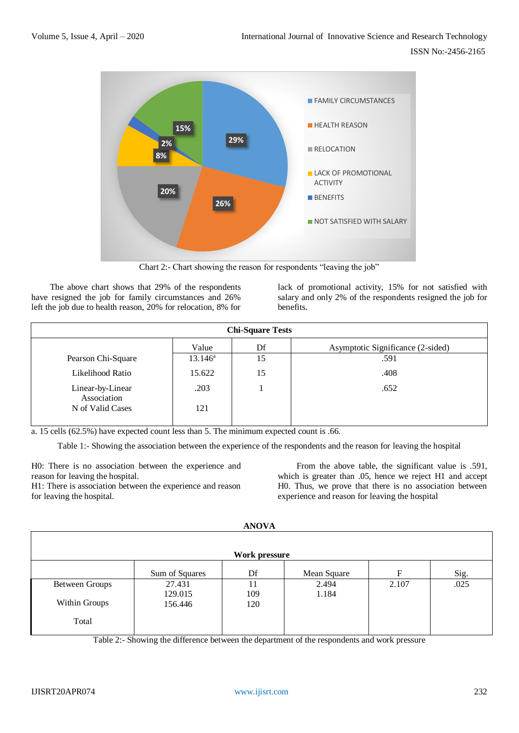

Chart 2:- Chart showing the reason for respondents "leaving the job"

The above chart shows that 29% of the respondents have resigned the job for family circumstances and 26% left the job due to health reason, 20% for relocation, 8% for

lack of promotional activity, 15% for not satisfied with salary and only 2% of the respondents resigned the job for benefits.

| <b>Chi-Square Tests</b>         |                  |    |                                   |  |  |  |  |
|---------------------------------|------------------|----|-----------------------------------|--|--|--|--|
|                                 | Value            | Df | Asymptotic Significance (2-sided) |  |  |  |  |
| Pearson Chi-Square              | $13.146^{\rm a}$ | 15 | .591                              |  |  |  |  |
| Likelihood Ratio                | 15.622           | 15 | .408                              |  |  |  |  |
| Linear-by-Linear<br>Association | .203             |    | .652                              |  |  |  |  |
| N of Valid Cases                | 121              |    |                                   |  |  |  |  |

a. 15 cells (62.5%) have expected count less than 5. The minimum expected count is .66.

Table 1:- Showing the association between the experience of the respondents and the reason for leaving the hospital

H0: There is no association between the experience and reason for leaving the hospital.

H1: There is association between the experience and reason for leaving the hospital.

From the above table, the significant value is .591, which is greater than .05, hence we reject H1 and accept H0. Thus, we prove that there is no association between experience and reason for leaving the hospital

| <b>AIVUVA</b>         |                |     |             |       |      |  |  |  |
|-----------------------|----------------|-----|-------------|-------|------|--|--|--|
| Work pressure         |                |     |             |       |      |  |  |  |
|                       | Sum of Squares | Df  | Mean Square | F     | Sig. |  |  |  |
| <b>Between Groups</b> | 27.431         | 11  | 2.494       | 2.107 | .025 |  |  |  |
|                       | 129.015        | 109 | 1.184       |       |      |  |  |  |
| Within Groups         | 156.446        | 120 |             |       |      |  |  |  |
| Total                 |                |     |             |       |      |  |  |  |

**ANOVA**

Table 2:- Showing the difference between the department of the respondents and work pressure